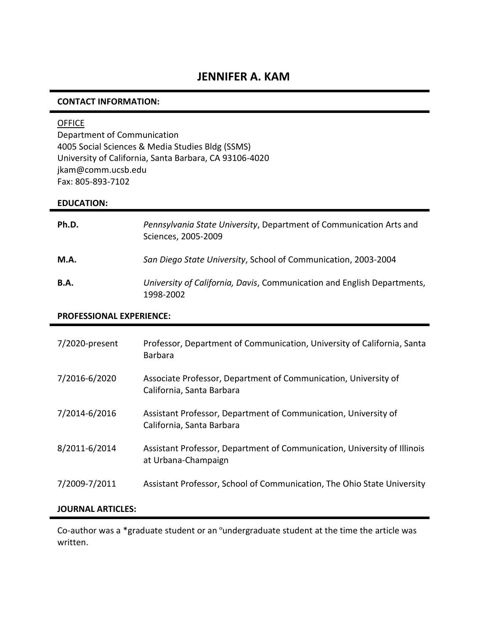### **CONTACT INFORMATION:**

### **OFFICE**

Department of Communication 4005 Social Sciences & Media Studies Bldg (SSMS) University of California, Santa Barbara, CA 93106-4020 jkam@comm.ucsb.edu Fax: 805-893-7102

#### **EDUCATION:**

| Ph.D.       | Pennsylvania State University, Department of Communication Arts and<br>Sciences, 2005-2009 |
|-------------|--------------------------------------------------------------------------------------------|
| M.A.        | San Diego State University, School of Communication, 2003-2004                             |
| <b>B.A.</b> | University of California, Davis, Communication and English Departments,<br>1998-2002       |

### **PROFESSIONAL EXPERIENCE:**

| $7/2020$ -present | Professor, Department of Communication, University of California, Santa<br><b>Barbara</b>       |
|-------------------|-------------------------------------------------------------------------------------------------|
| 7/2016-6/2020     | Associate Professor, Department of Communication, University of<br>California, Santa Barbara    |
| 7/2014-6/2016     | Assistant Professor, Department of Communication, University of<br>California, Santa Barbara    |
| 8/2011-6/2014     | Assistant Professor, Department of Communication, University of Illinois<br>at Urbana-Champaign |
| 7/2009-7/2011     | Assistant Professor, School of Communication, The Ohio State University                         |

### **JOURNAL ARTICLES:**

Co-author was a \*graduate student or an ºundergraduate student at the time the article was written.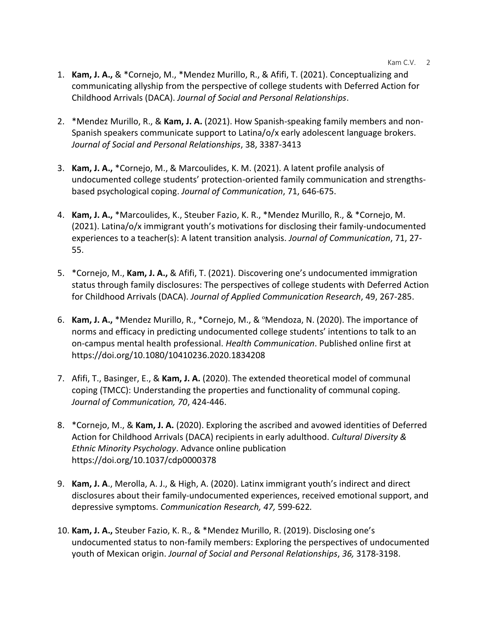- 1. **Kam, J. A.,** & \*Cornejo, M., \*Mendez Murillo, R., & Afifi, T. (2021). Conceptualizing and communicating allyship from the perspective of college students with Deferred Action for Childhood Arrivals (DACA). *Journal of Social and Personal Relationships*.
- 2. \*Mendez Murillo, R., & **Kam, J. A.** (2021). How Spanish-speaking family members and non-Spanish speakers communicate support to Latina/o/x early adolescent language brokers. *Journal of Social and Personal Relationships*, 38, 3387-3413
- 3. **Kam, J. A.,** \*Cornejo, M., & Marcoulides, K. M. (2021). A latent profile analysis of undocumented college students' protection-oriented family communication and strengthsbased psychological coping. *Journal of Communication*, 71, 646-675.
- 4. **Kam, J. A.,** \*Marcoulides, K., Steuber Fazio, K. R., \*Mendez Murillo, R., & \*Cornejo, M. (2021). Latina/o/x immigrant youth's motivations for disclosing their family-undocumented experiences to a teacher(s): A latent transition analysis. *Journal of Communication*, 71, 27- 55.
- 5. \*Cornejo, M., **Kam, J. A.,** & Afifi, T. (2021). Discovering one's undocumented immigration status through family disclosures: The perspectives of college students with Deferred Action for Childhood Arrivals (DACA). *Journal of Applied Communication Research*, 49, 267-285.
- 6. **Kam, J. A.,** \*Mendez Murillo, R., \*Cornejo, M., & ºMendoza, N. (2020). The importance of norms and efficacy in predicting undocumented college students' intentions to talk to an on-campus mental health professional. *Health Communication*. Published online first at https://doi.org/10.1080/10410236.2020.1834208
- 7. Afifi, T., Basinger, E., & **Kam, J. A.** (2020). The extended theoretical model of communal coping (TMCC): Understanding the properties and functionality of communal coping. *Journal of Communication, 70*, 424-446.
- 8. \*Cornejo, M., & **Kam, J. A.** (2020). Exploring the ascribed and avowed identities of Deferred Action for Childhood Arrivals (DACA) recipients in early adulthood. *Cultural Diversity & Ethnic Minority Psychology*. Advance online publication https://doi.org/10.1037/cdp0000378
- 9. **Kam, J. A**., Merolla, A. J., & High, A. (2020). Latinx immigrant youth's indirect and direct disclosures about their family-undocumented experiences, received emotional support, and depressive symptoms. *Communication Research, 47,* 599-622*.*
- 10. **Kam, J. A.,** Steuber Fazio, K. R., & \*Mendez Murillo, R. (2019). Disclosing one's undocumented status to non-family members: Exploring the perspectives of undocumented youth of Mexican origin. *Journal of Social and Personal Relationships*, *36,* 3178-3198.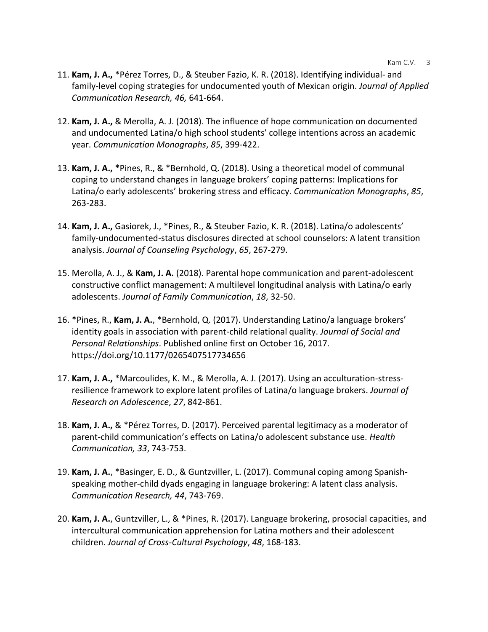- 11. **Kam, J. A.,** \*Pérez Torres, D., & Steuber Fazio, K. R. (2018). Identifying individual- and family-level coping strategies for undocumented youth of Mexican origin. *Journal of Applied Communication Research, 46,* 641-664.
- 12. **Kam, J. A.,** & Merolla, A. J. (2018). The influence of hope communication on documented and undocumented Latina/o high school students' college intentions across an academic year. *Communication Monographs*, *85*, 399-422.
- 13. **Kam, J. A., \***Pines, R., & \*Bernhold, Q. (2018). Using a theoretical model of communal coping to understand changes in language brokers' coping patterns: Implications for Latina/o early adolescents' brokering stress and efficacy. *Communication Monographs*, *85*, 263-283.
- 14. **Kam, J. A.,** Gasiorek, J., \*Pines, R., & Steuber Fazio, K. R. (2018). Latina/o adolescents' family-undocumented-status disclosures directed at school counselors: A latent transition analysis. *Journal of Counseling Psychology*, *65*, 267-279.
- 15. Merolla, A. J., & **Kam, J. A.** (2018). Parental hope communication and parent-adolescent constructive conflict management: A multilevel longitudinal analysis with Latina/o early adolescents. *Journal of Family Communication*, *18*, 32-50.
- 16. \*Pines, R., **Kam, J. A.**, \*Bernhold, Q. (2017). Understanding Latino/a language brokers' identity goals in association with parent-child relational quality. *Journal of Social and Personal Relationships*. Published online first on October 16, 2017. https://doi.org/10.1177/0265407517734656
- 17. **Kam, J. A.,** \*Marcoulides, K. M., & Merolla, A. J. (2017). Using an acculturation-stressresilience framework to explore latent profiles of Latina/o language brokers. *Journal of Research on Adolescence*, *27*, 842-861.
- 18. **Kam, J. A.,** & \*Pérez Torres, D. (2017). Perceived parental legitimacy as a moderator of parent-child communication's effects on Latina/o adolescent substance use. *Health Communication, 33*, 743-753.
- 19. **Kam, J. A.**, \*Basinger, E. D., & Guntzviller, L. (2017). Communal coping among Spanishspeaking mother-child dyads engaging in language brokering: A latent class analysis. *Communication Research, 44*, 743-769.
- 20. **Kam, J. A.**, Guntzviller, L., & \*Pines, R. (2017). Language brokering, prosocial capacities, and intercultural communication apprehension for Latina mothers and their adolescent children. *Journal of Cross-Cultural Psychology*, *48*, 168-183.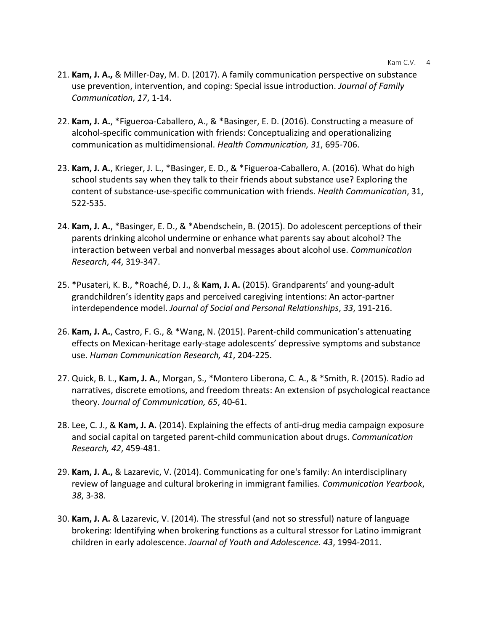- 21. **Kam, J. A.,** & Miller-Day, M. D. (2017). A family communication perspective on substance use prevention, intervention, and coping: Special issue introduction. *Journal of Family Communication*, *17*, 1-14.
- 22. **Kam, J. A.**, \*Figueroa-Caballero, A., & \*Basinger, E. D. (2016). Constructing a measure of alcohol-specific communication with friends: Conceptualizing and operationalizing communication as multidimensional. *Health Communication, 31*, 695-706.
- 23. **Kam, J. A.**, Krieger, J. L., \*Basinger, E. D., & \*Figueroa-Caballero, A. (2016). What do high school students say when they talk to their friends about substance use? Exploring the content of substance-use-specific communication with friends. *Health Communication*, 31, 522-535.
- 24. **Kam, J. A.**, \*Basinger, E. D., & \*Abendschein, B. (2015). Do adolescent perceptions of their parents drinking alcohol undermine or enhance what parents say about alcohol? The interaction between verbal and nonverbal messages about alcohol use. *Communication Research*, *44*, 319-347.
- 25. \*Pusateri, K. B., \*Roaché, D. J., & **Kam, J. A.** (2015). Grandparents' and young-adult grandchildren's identity gaps and perceived caregiving intentions: An actor-partner interdependence model. *Journal of Social and Personal Relationships*, *33*, 191-216.
- 26. **Kam, J. A.**, Castro, F. G., & \*Wang, N. (2015). Parent-child communication's attenuating effects on Mexican-heritage early-stage adolescents' depressive symptoms and substance use. *Human Communication Research, 41*, 204-225.
- 27. Quick, B. L., **Kam, J. A.**, Morgan, S., \*Montero Liberona, C. A., & \*Smith, R. (2015). Radio ad narratives, discrete emotions, and freedom threats: An extension of psychological reactance theory. *Journal of Communication, 65*, 40-61.
- 28. Lee, C. J., & **Kam, J. A.** (2014). Explaining the effects of anti-drug media campaign exposure and social capital on targeted parent-child communication about drugs. *Communication Research, 42*, 459-481.
- 29. **Kam, J. A.,** & Lazarevic, V. (2014). Communicating for one's family: An interdisciplinary review of language and cultural brokering in immigrant families*. Communication Yearbook*, *38*, 3-38.
- 30. **Kam, J. A.** & Lazarevic, V. (2014). The stressful (and not so stressful) nature of language brokering: Identifying when brokering functions as a cultural stressor for Latino immigrant children in early adolescence. *Journal of Youth and Adolescence. 43*, 1994-2011.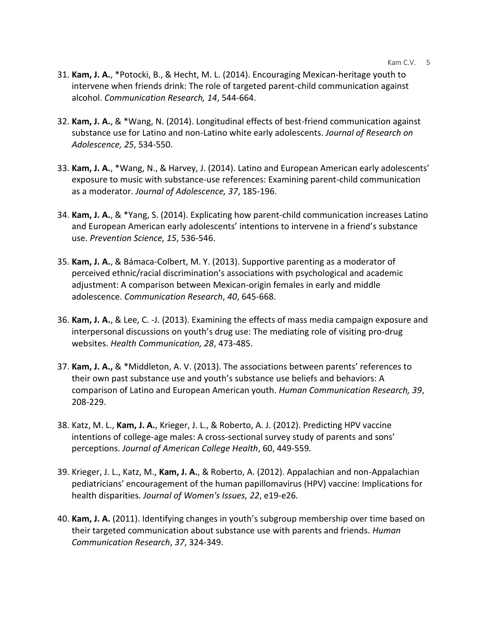- Kam C.V. 5
- 31. **Kam, J. A.**, \*Potocki, B., & Hecht, M. L. (2014). Encouraging Mexican-heritage youth to intervene when friends drink: The role of targeted parent-child communication against alcohol. *Communication Research, 14*, 544-664.
- 32. **Kam, J. A.**, & \*Wang, N. (2014). Longitudinal effects of best-friend communication against substance use for Latino and non-Latino white early adolescents. *Journal of Research on Adolescence, 25*, 534-550.
- 33. **Kam, J. A.**, \*Wang, N., & Harvey, J. (2014). Latino and European American early adolescents' exposure to music with substance-use references: Examining parent-child communication as a moderator. *Journal of Adolescence, 37*, 185-196.
- 34. **Kam, J. A.**, & \*Yang, S. (2014). Explicating how parent-child communication increases Latino and European American early adolescents' intentions to intervene in a friend's substance use. *Prevention Science, 15*, 536-546.
- 35. **Kam, J. A.**, & Bámaca-Colbert, M. Y. (2013). Supportive parenting as a moderator of perceived ethnic/racial discrimination's associations with psychological and academic adjustment: A comparison between Mexican-origin females in early and middle adolescence. *Communication Research*, *40*, 645-668.
- 36. **Kam, J. A.**, & Lee, C. -J. (2013). Examining the effects of mass media campaign exposure and interpersonal discussions on youth's drug use: The mediating role of visiting pro-drug websites. *Health Communication, 28*, 473-485.
- 37. **Kam, J. A.,** & \*Middleton, A. V. (2013). The associations between parents' references to their own past substance use and youth's substance use beliefs and behaviors: A comparison of Latino and European American youth. *Human Communication Research, 39*, 208-229.
- 38. Katz, M. L., **Kam, J. A.**, Krieger, J. L., & Roberto, A. J. (2012). Predicting HPV vaccine intentions of college-age males: A cross-sectional survey study of parents and sons' perceptions. *Journal of American College Health*, 60, 449-559*.*
- 39. Krieger, J. L., Katz, M., **Kam, J. A.**, & Roberto, A. (2012). Appalachian and non-Appalachian pediatricians' encouragement of the human papillomavirus (HPV) vaccine: Implications for health disparities*. Journal of Women's Issues, 22*, e19-e26*.*
- 40. **Kam, J. A.** (2011). Identifying changes in youth's subgroup membership over time based on their targeted communication about substance use with parents and friends. *Human Communication Research*, *37*, 324-349.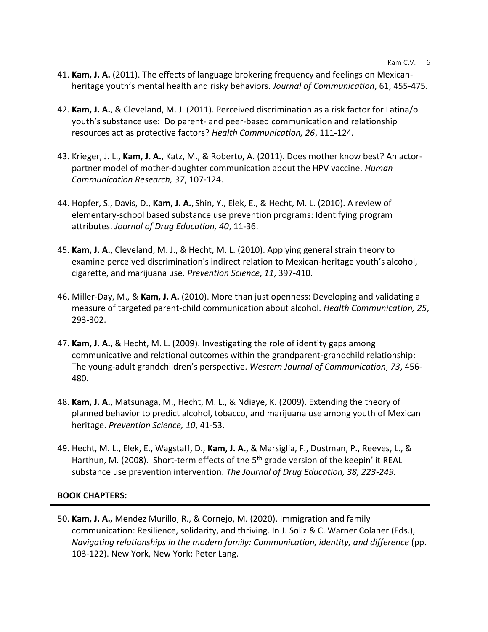- 41. **Kam, J. A.** (2011). The effects of language brokering frequency and feelings on Mexicanheritage youth's mental health and risky behaviors. *Journal of Communication*, 61, 455-475.
- 42. **Kam, J. A.**, & Cleveland, M. J. (2011). Perceived discrimination as a risk factor for Latina/o youth's substance use: Do parent- and peer-based communication and relationship resources act as protective factors? *Health Communication, 26*, 111-124*.*
- 43. Krieger, J. L., **Kam, J. A.**, Katz, M., & Roberto, A. (2011). Does mother know best? An actorpartner model of mother-daughter communication about the HPV vaccine. *Human Communication Research, 37*, 107-124.
- 44. Hopfer, S., Davis, D., **Kam, J. A.**, Shin, Y., Elek, E., & Hecht, M. L. (2010). A review of elementary-school based substance use prevention programs: Identifying program attributes. *Journal of Drug Education, 40*, 11-36.
- 45. **Kam, J. A.**, Cleveland, M. J., & Hecht, M. L. (2010). Applying general strain theory to examine perceived discrimination's indirect relation to Mexican-heritage youth's alcohol, cigarette, and marijuana use. *Prevention Science*, *11*, 397-410.
- 46. Miller-Day, M., & **Kam, J. A.** (2010). More than just openness: Developing and validating a measure of targeted parent-child communication about alcohol. *Health Communication, 25*, 293-302.
- 47. **Kam, J. A.**, & Hecht, M. L. (2009). Investigating the role of identity gaps among communicative and relational outcomes within the grandparent-grandchild relationship: The young-adult grandchildren's perspective. *Western Journal of Communication*, *73*, 456- 480.
- 48. **Kam, J. A.**, Matsunaga, M., Hecht, M. L., & Ndiaye, K. (2009). Extending the theory of planned behavior to predict alcohol, tobacco, and marijuana use among youth of Mexican heritage. *Prevention Science, 10*, 41-53.
- 49. Hecht, M. L., Elek, E., Wagstaff, D., **Kam, J. A.**, & Marsiglia, F., Dustman, P., Reeves, L., & Harthun, M. (2008). Short-term effects of the 5<sup>th</sup> grade version of the keepin' it REAL substance use prevention intervention. *The Journal of Drug Education, 38, 223-249.*

## **BOOK CHAPTERS:**

50. **Kam, J. A.,** Mendez Murillo, R., & Cornejo, M. (2020). Immigration and family communication: Resilience, solidarity, and thriving. In J. Soliz & C. Warner Colaner (Eds.), *Navigating relationships in the modern family: Communication, identity, and difference* (pp. 103-122). New York, New York: Peter Lang.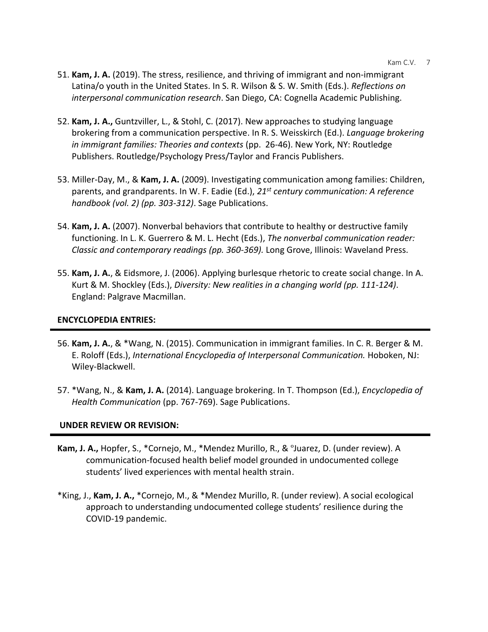- 51. **Kam, J. A.** (2019). The stress, resilience, and thriving of immigrant and non-immigrant Latina/o youth in the United States. In S. R. Wilson & S. W. Smith (Eds.). *Reflections on interpersonal communication research*. San Diego, CA: Cognella Academic Publishing.
- 52. **Kam, J. A.,** Guntzviller, L., & Stohl, C. (2017). New approaches to studying language brokering from a communication perspective. In R. S. Weisskirch (Ed.). *Language brokering in immigrant families: Theories and contexts* (pp. 26-46). New York, NY: Routledge Publishers. Routledge/Psychology Press/Taylor and Francis Publishers.
- 53. Miller-Day, M., & **Kam, J. A.** (2009). Investigating communication among families: Children, parents, and grandparents. In W. F. Eadie (Ed.), *21st century communication: A reference handbook (vol. 2) (pp. 303-312)*. Sage Publications.
- 54. **Kam, J. A.** (2007). Nonverbal behaviors that contribute to healthy or destructive family functioning. In L. K. Guerrero & M. L. Hecht (Eds.), *The nonverbal communication reader: Classic and contemporary readings (pp. 360-369).* Long Grove, Illinois: Waveland Press.
- 55. **Kam, J. A.**, & Eidsmore, J. (2006). Applying burlesque rhetoric to create social change. In A. Kurt & M. Shockley (Eds.), *Diversity: New realities in a changing world (pp. 111-124)*. England: Palgrave Macmillan.

# **ENCYCLOPEDIA ENTRIES:**

- 56. **Kam, J. A.**, & \*Wang, N. (2015). Communication in immigrant families. In C. R. Berger & M. E. Roloff (Eds.), *International Encyclopedia of Interpersonal Communication.* Hoboken, NJ: Wiley-Blackwell.
- 57. \*Wang, N., & **Kam, J. A.** (2014). Language brokering. In T. Thompson (Ed.), *Encyclopedia of Health Communication* (pp. 767-769). Sage Publications.

# **UNDER REVIEW OR REVISION:**

- **Kam, J. A.,** Hopfer, S., \*Cornejo, M., \*Mendez Murillo, R., & ºJuarez, D. (under review). A communication-focused health belief model grounded in undocumented college students' lived experiences with mental health strain.
- \*King, J., **Kam, J. A.,** \*Cornejo, M., & \*Mendez Murillo, R. (under review). A social ecological approach to understanding undocumented college students' resilience during the COVID-19 pandemic.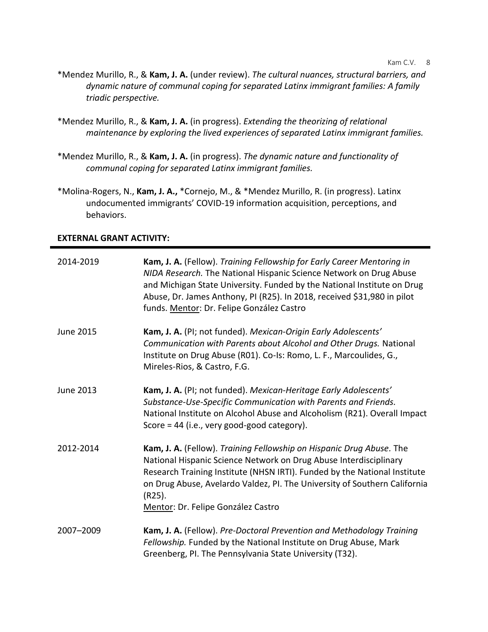- \*Mendez Murillo, R., & **Kam, J. A.** (under review). *The cultural nuances, structural barriers, and dynamic nature of communal coping for separated Latinx immigrant families: A family triadic perspective.*
- \*Mendez Murillo, R., & **Kam, J. A.** (in progress). *Extending the theorizing of relational maintenance by exploring the lived experiences of separated Latinx immigrant families.*
- \*Mendez Murillo, R., & **Kam, J. A.** (in progress). *The dynamic nature and functionality of communal coping for separated Latinx immigrant families.*
- \*Molina-Rogers, N., **Kam, J. A.,** \*Cornejo, M., & \*Mendez Murillo, R. (in progress). Latinx undocumented immigrants' COVID-19 information acquisition, perceptions, and behaviors.

## **EXTERNAL GRANT ACTIVITY:**

| 2014-2019        | Kam, J. A. (Fellow). Training Fellowship for Early Career Mentoring in<br>NIDA Research. The National Hispanic Science Network on Drug Abuse<br>and Michigan State University. Funded by the National Institute on Drug<br>Abuse, Dr. James Anthony, PI (R25). In 2018, received \$31,980 in pilot<br>funds. Mentor: Dr. Felipe González Castro        |
|------------------|--------------------------------------------------------------------------------------------------------------------------------------------------------------------------------------------------------------------------------------------------------------------------------------------------------------------------------------------------------|
| <b>June 2015</b> | Kam, J. A. (PI; not funded). Mexican-Origin Early Adolescents'<br>Communication with Parents about Alcohol and Other Drugs. National<br>Institute on Drug Abuse (R01). Co-Is: Romo, L. F., Marcoulides, G.,<br>Mireles-Rios, & Castro, F.G.                                                                                                            |
| June 2013        | Kam, J. A. (PI; not funded). Mexican-Heritage Early Adolescents'<br>Substance-Use-Specific Communication with Parents and Friends.<br>National Institute on Alcohol Abuse and Alcoholism (R21). Overall Impact<br>Score = $44$ (i.e., very good-good category).                                                                                        |
| 2012-2014        | Kam, J. A. (Fellow). Training Fellowship on Hispanic Drug Abuse. The<br>National Hispanic Science Network on Drug Abuse Interdisciplinary<br>Research Training Institute (NHSN IRTI). Funded by the National Institute<br>on Drug Abuse, Avelardo Valdez, PI. The University of Southern California<br>$(R25)$ .<br>Mentor: Dr. Felipe González Castro |
| 2007-2009        | Kam, J. A. (Fellow). Pre-Doctoral Prevention and Methodology Training<br>Fellowship. Funded by the National Institute on Drug Abuse, Mark<br>Greenberg, PI. The Pennsylvania State University (T32).                                                                                                                                                   |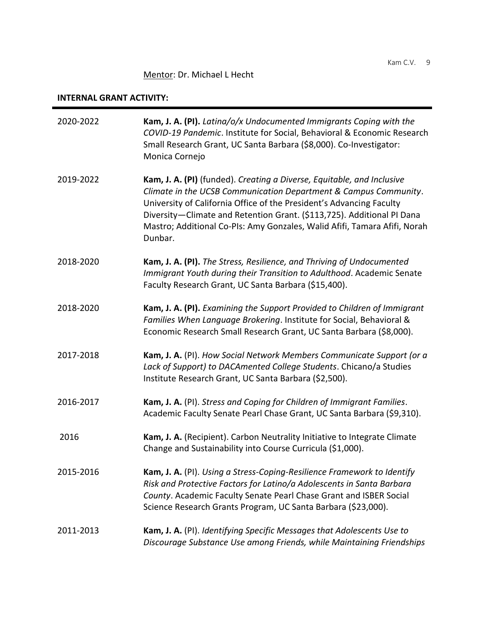# Mentor: Dr. Michael L Hecht

## **INTERNAL GRANT ACTIVITY:**

| 2020-2022 | Kam, J. A. (PI). Latina/o/x Undocumented Immigrants Coping with the<br>COVID-19 Pandemic. Institute for Social, Behavioral & Economic Research<br>Small Research Grant, UC Santa Barbara (\$8,000). Co-Investigator:<br>Monica Cornejo                                                                                                                                               |
|-----------|--------------------------------------------------------------------------------------------------------------------------------------------------------------------------------------------------------------------------------------------------------------------------------------------------------------------------------------------------------------------------------------|
| 2019-2022 | Kam, J. A. (PI) (funded). Creating a Diverse, Equitable, and Inclusive<br>Climate in the UCSB Communication Department & Campus Community.<br>University of California Office of the President's Advancing Faculty<br>Diversity-Climate and Retention Grant. (\$113,725). Additional PI Dana<br>Mastro; Additional Co-PIs: Amy Gonzales, Walid Afifi, Tamara Afifi, Norah<br>Dunbar. |
| 2018-2020 | Kam, J. A. (PI). The Stress, Resilience, and Thriving of Undocumented<br>Immigrant Youth during their Transition to Adulthood. Academic Senate<br>Faculty Research Grant, UC Santa Barbara (\$15,400).                                                                                                                                                                               |
| 2018-2020 | Kam, J. A. (PI). Examining the Support Provided to Children of Immigrant<br>Families When Language Brokering. Institute for Social, Behavioral &<br>Economic Research Small Research Grant, UC Santa Barbara (\$8,000).                                                                                                                                                              |
| 2017-2018 | Kam, J. A. (PI). How Social Network Members Communicate Support (or a<br>Lack of Support) to DACAmented College Students. Chicano/a Studies<br>Institute Research Grant, UC Santa Barbara (\$2,500).                                                                                                                                                                                 |
| 2016-2017 | Kam, J. A. (PI). Stress and Coping for Children of Immigrant Families.<br>Academic Faculty Senate Pearl Chase Grant, UC Santa Barbara (\$9,310).                                                                                                                                                                                                                                     |
| 2016      | Kam, J. A. (Recipient). Carbon Neutrality Initiative to Integrate Climate<br>Change and Sustainability into Course Curricula (\$1,000).                                                                                                                                                                                                                                              |
| 2015-2016 | Kam, J. A. (PI). Using a Stress-Coping-Resilience Framework to Identify<br>Risk and Protective Factors for Latino/a Adolescents in Santa Barbara<br>County. Academic Faculty Senate Pearl Chase Grant and ISBER Social<br>Science Research Grants Program, UC Santa Barbara (\$23,000).                                                                                              |
| 2011-2013 | Kam, J. A. (PI). Identifying Specific Messages that Adolescents Use to<br>Discourage Substance Use among Friends, while Maintaining Friendships                                                                                                                                                                                                                                      |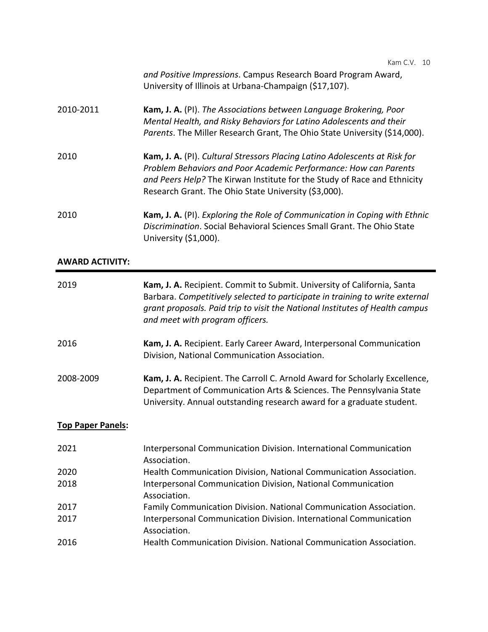|           | and Positive Impressions. Campus Research Board Program Award,<br>University of Illinois at Urbana-Champaign (\$17,107).                                                                                                                                                           |
|-----------|------------------------------------------------------------------------------------------------------------------------------------------------------------------------------------------------------------------------------------------------------------------------------------|
| 2010-2011 | <b>Kam, J. A.</b> (PI). The Associations between Language Brokering, Poor<br>Mental Health, and Risky Behaviors for Latino Adolescents and their<br>Parents. The Miller Research Grant, The Ohio State University (\$14,000).                                                      |
| 2010      | Kam, J. A. (PI). Cultural Stressors Placing Latino Adolescents at Risk for<br>Problem Behaviors and Poor Academic Performance: How can Parents<br>and Peers Help? The Kirwan Institute for the Study of Race and Ethnicity<br>Research Grant. The Ohio State University (\$3,000). |
| 2010      | Kam, J. A. (PI). Exploring the Role of Communication in Coping with Ethnic<br>Discrimination. Social Behavioral Sciences Small Grant. The Ohio State<br>University (\$1,000).                                                                                                      |

### **AWARD ACTIVITY:**

| 2019                     | Kam, J. A. Recipient. Commit to Submit. University of California, Santa<br>Barbara. Competitively selected to participate in training to write external<br>grant proposals. Paid trip to visit the National Institutes of Health campus<br>and meet with program officers. |
|--------------------------|----------------------------------------------------------------------------------------------------------------------------------------------------------------------------------------------------------------------------------------------------------------------------|
| 2016                     | Kam, J. A. Recipient. Early Career Award, Interpersonal Communication<br>Division, National Communication Association.                                                                                                                                                     |
| 2008-2009                | Kam, J. A. Recipient. The Carroll C. Arnold Award for Scholarly Excellence,<br>Department of Communication Arts & Sciences. The Pennsylvania State<br>University. Annual outstanding research award for a graduate student.                                                |
| <b>Top Paper Panels:</b> |                                                                                                                                                                                                                                                                            |
| 2021                     | Interpersonal Communication Division. International Communication<br>Association.                                                                                                                                                                                          |
| 2020                     | Health Communication Division, National Communication Association.                                                                                                                                                                                                         |
| 2018                     | Interpersonal Communication Division, National Communication<br>Association.                                                                                                                                                                                               |
| 2017                     | Family Communication Division. National Communication Association.                                                                                                                                                                                                         |
| 2017                     | Interpersonal Communication Division. International Communication<br>Association.                                                                                                                                                                                          |
| 2016                     | Health Communication Division. National Communication Association.                                                                                                                                                                                                         |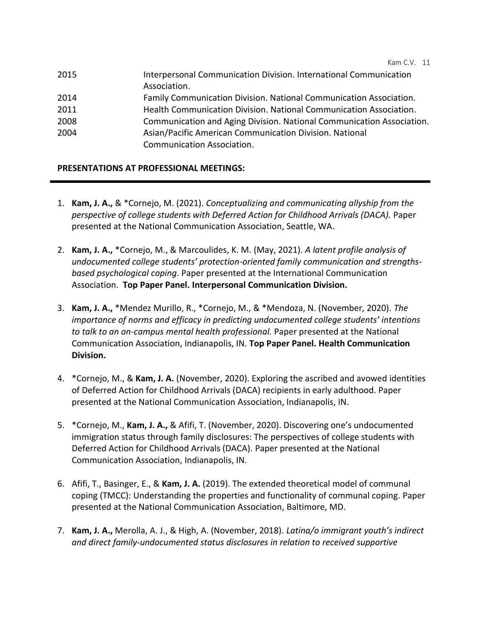| 2015 | Interpersonal Communication Division. International Communication<br>Association. |
|------|-----------------------------------------------------------------------------------|
| 2014 | Family Communication Division. National Communication Association.                |
| 2011 | Health Communication Division. National Communication Association.                |
| 2008 | Communication and Aging Division. National Communication Association.             |
| 2004 | Asian/Pacific American Communication Division. National                           |
|      | Communication Association.                                                        |

# **PRESENTATIONS AT PROFESSIONAL MEETINGS:**

- 1. **Kam, J. A.,** & \*Cornejo, M. (2021). *Conceptualizing and communicating allyship from the perspective of college students with Deferred Action for Childhood Arrivals (DACA).* Paper presented at the National Communication Association, Seattle, WA.
- 2. **Kam, J. A.,** \*Cornejo, M., & Marcoulides, K. M. (May, 2021). *A latent profile analysis of undocumented college students' protection-oriented family communication and strengthsbased psychological coping*. Paper presented at the International Communication Association. **Top Paper Panel. Interpersonal Communication Division.**
- 3. **Kam, J. A.,** \*Mendez Murillo, R., \*Cornejo, M., & \*Mendoza, N. (November, 2020). *The importance of norms and efficacy in predicting undocumented college students' intentions to talk to an on-campus mental health professional.* Paper presented at the National Communication Association, Indianapolis, IN. **Top Paper Panel. Health Communication Division.**
- 4. \*Cornejo, M., & **Kam, J. A.** (November, 2020). Exploring the ascribed and avowed identities of Deferred Action for Childhood Arrivals (DACA) recipients in early adulthood. Paper presented at the National Communication Association, Indianapolis, IN.
- 5. \*Cornejo, M., **Kam, J. A.,** & Afifi, T. (November, 2020). Discovering one's undocumented immigration status through family disclosures: The perspectives of college students with Deferred Action for Childhood Arrivals (DACA). Paper presented at the National Communication Association, Indianapolis, IN.
- 6. Afifi, T., Basinger, E., & **Kam, J. A.** (2019). The extended theoretical model of communal coping (TMCC): Understanding the properties and functionality of communal coping. Paper presented at the National Communication Association, Baltimore, MD.
- 7. **Kam, J. A.,** Merolla, A. J., & High, A. (November, 2018). *Latina/o immigrant youth's indirect and direct family-undocumented status disclosures in relation to received supportive*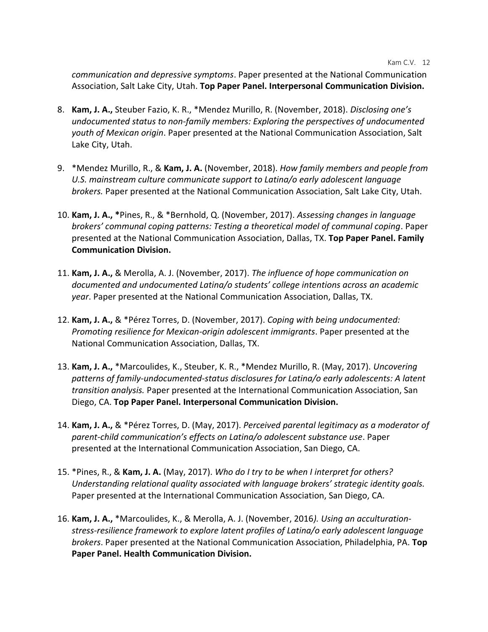*communication and depressive symptoms*. Paper presented at the National Communication Association, Salt Lake City, Utah. **Top Paper Panel. Interpersonal Communication Division.**

- 8. **Kam, J. A.,** Steuber Fazio, K. R., \*Mendez Murillo, R. (November, 2018). *Disclosing one's undocumented status to non-family members: Exploring the perspectives of undocumented youth of Mexican origin*. Paper presented at the National Communication Association, Salt Lake City, Utah.
- 9. \*Mendez Murillo, R., & **Kam, J. A.** (November, 2018). *How family members and people from U.S. mainstream culture communicate support to Latina/o early adolescent language brokers.* Paper presented at the National Communication Association, Salt Lake City, Utah.
- 10. **Kam, J. A., \***Pines, R., & \*Bernhold, Q. (November, 2017). *Assessing changes in language brokers' communal coping patterns: Testing a theoretical model of communal coping*. Paper presented at the National Communication Association, Dallas, TX. **Top Paper Panel. Family Communication Division.**
- 11. **Kam, J. A.,** & Merolla, A. J. (November, 2017). *The influence of hope communication on documented and undocumented Latina/o students' college intentions across an academic year*. Paper presented at the National Communication Association, Dallas, TX.
- 12. **Kam, J. A.,** & \*Pérez Torres, D. (November, 2017). *Coping with being undocumented: Promoting resilience for Mexican-origin adolescent immigrants*. Paper presented at the National Communication Association, Dallas, TX.
- 13. **Kam, J. A.,** \*Marcoulides, K., Steuber, K. R., \*Mendez Murillo, R. (May, 2017). *Uncovering patterns of family-undocumented-status disclosures for Latina/o early adolescents: A latent transition analysis.* Paper presented at the International Communication Association, San Diego, CA. **Top Paper Panel. Interpersonal Communication Division.**
- 14. **Kam, J. A.,** & \*Pérez Torres, D. (May, 2017). *Perceived parental legitimacy as a moderator of parent-child communication's effects on Latina/o adolescent substance use*. Paper presented at the International Communication Association, San Diego, CA.
- 15. \*Pines, R., & **Kam, J. A.** (May, 2017). *Who do I try to be when I interpret for others? Understanding relational quality associated with language brokers' strategic identity goals.* Paper presented at the International Communication Association, San Diego, CA.
- 16. **Kam, J. A.,** \*Marcoulides, K., & Merolla, A. J. (November, 2016*). Using an acculturationstress-resilience framework to explore latent profiles of Latina/o early adolescent language brokers*. Paper presented at the National Communication Association, Philadelphia, PA. **Top Paper Panel. Health Communication Division.**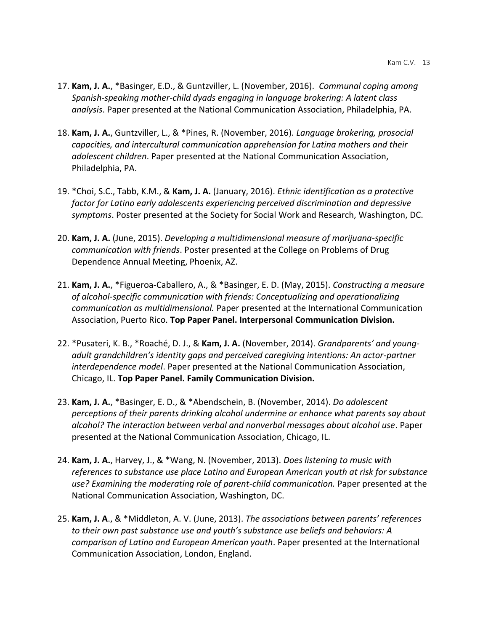- 17. **Kam, J. A.**, \*Basinger, E.D., & Guntzviller, L. (November, 2016). *Communal coping among Spanish-speaking mother-child dyads engaging in language brokering: A latent class analysis*. Paper presented at the National Communication Association, Philadelphia, PA.
- 18. **Kam, J. A.**, Guntzviller, L., & \*Pines, R. (November, 2016). *Language brokering, prosocial capacities, and intercultural communication apprehension for Latina mothers and their adolescent children*. Paper presented at the National Communication Association, Philadelphia, PA.
- 19. \*Choi, S.C., Tabb, K.M., & **Kam, J. A.** (January, 2016). *Ethnic identification as a protective factor for Latino early adolescents experiencing perceived discrimination and depressive symptoms*. Poster presented at the Society for Social Work and Research, Washington, DC.
- 20. **Kam, J. A.** (June, 2015). *Developing a multidimensional measure of marijuana-specific communication with friends*. Poster presented at the College on Problems of Drug Dependence Annual Meeting, Phoenix, AZ.
- 21. **Kam, J. A.**, \*Figueroa-Caballero, A., & \*Basinger, E. D. (May, 2015). *Constructing a measure of alcohol-specific communication with friends: Conceptualizing and operationalizing communication as multidimensional.* Paper presented at the International Communication Association, Puerto Rico. **Top Paper Panel. Interpersonal Communication Division.**
- 22. \*Pusateri, K. B., \*Roaché, D. J., & **Kam, J. A.** (November, 2014). *Grandparents' and youngadult grandchildren's identity gaps and perceived caregiving intentions: An actor-partner interdependence model*. Paper presented at the National Communication Association, Chicago, IL. **Top Paper Panel. Family Communication Division.**
- 23. **Kam, J. A.**, \*Basinger, E. D., & \*Abendschein, B. (November, 2014). *Do adolescent perceptions of their parents drinking alcohol undermine or enhance what parents say about alcohol? The interaction between verbal and nonverbal messages about alcohol use*. Paper presented at the National Communication Association, Chicago, IL.
- 24. **Kam, J. A.**, Harvey, J., & \*Wang, N. (November, 2013). *Does listening to music with references to substance use place Latino and European American youth at risk for substance use? Examining the moderating role of parent-child communication.* Paper presented at the National Communication Association, Washington, DC.
- 25. **Kam, J. A**., & \*Middleton, A. V. (June, 2013). *The associations between parents' references to their own past substance use and youth's substance use beliefs and behaviors: A comparison of Latino and European American youth*. Paper presented at the International Communication Association, London, England.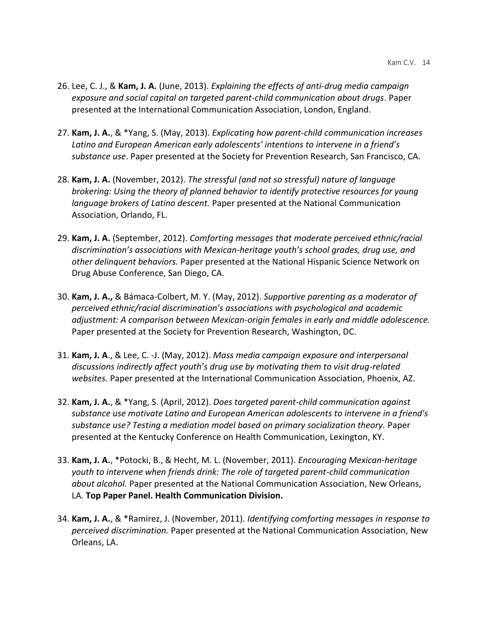- 26. Lee, C. J., & **Kam, J. A.** (June, 2013). *Explaining the effects of anti-drug media campaign exposure and social capital on targeted parent-child communication about drugs*. Paper presented at the International Communication Association, London, England.
- 27. **Kam, J. A.**, & \*Yang, S. (May, 2013). *Explicating how parent-child communication increases Latino and European American early adolescents' intentions to intervene in a friend's substance use*. Paper presented at the Society for Prevention Research, San Francisco, CA.
- 28. **Kam, J. A.** (November, 2012). *The stressful (and not so stressful) nature of language brokering: Using the theory of planned behavior to identify protective resources for young language brokers of Latino descent.* Paper presented at the National Communication Association, Orlando, FL.
- 29. **Kam, J. A.** (September, 2012). *Comforting messages that moderate perceived ethnic/racial discrimination's associations with Mexican-heritage youth's school grades, drug use, and other delinquent behaviors.* Paper presented at the National Hispanic Science Network on Drug Abuse Conference, San Diego, CA.
- 30. **Kam, J. A.,** & Bámaca-Colbert, M. Y. (May, 2012). *Supportive parenting as a moderator of perceived ethnic/racial discrimination's associations with psychological and academic adjustment: A comparison between Mexican-origin females in early and middle adolescence.* Paper presented at the Society for Prevention Research, Washington, DC.
- 31. **Kam, J. A**., & Lee, C. -J. (May, 2012). *Mass media campaign exposure and interpersonal discussions indirectly affect youth's drug use by motivating them to visit drug-related websites*. Paper presented at the International Communication Association, Phoenix, AZ.
- 32. **Kam, J. A.**, & \*Yang, S. (April, 2012). *Does targeted parent-child communication against substance use motivate Latino and European American adolescents to intervene in a friend's*  substance use? Testing a mediation model based on primary socialization theory. Paper presented at the Kentucky Conference on Health Communication, Lexington, KY.
- 33. **Kam, J. A.**, \*Potocki, B., & Hecht, M. L. (November, 2011). *Encouraging Mexican-heritage youth to intervene when friends drink: The role of targeted parent-child communication about alcohol.* Paper presented at the National Communication Association, New Orleans, LA. **Top Paper Panel. Health Communication Division.**
- 34. **Kam, J. A.**, & \*Ramirez, J. (November, 2011). *Identifying comforting messages in response to perceived discrimination.* Paper presented at the National Communication Association, New Orleans, LA.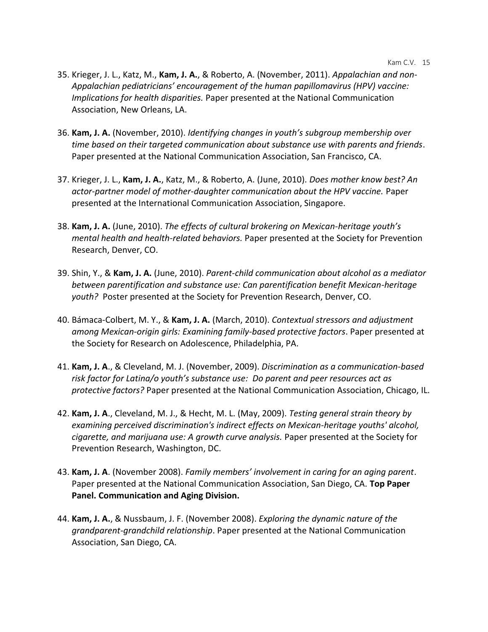- 35. Krieger, J. L., Katz, M., **Kam, J. A.**, & Roberto, A. (November, 2011). *Appalachian and non-Appalachian pediatricians' encouragement of the human papillomavirus (HPV) vaccine: Implications for health disparities.* Paper presented at the National Communication Association, New Orleans, LA.
- 36. **Kam, J. A.** (November, 2010). *Identifying changes in youth's subgroup membership over time based on their targeted communication about substance use with parents and friends*. Paper presented at the National Communication Association, San Francisco, CA.
- 37. Krieger, J. L., **Kam, J. A.**, Katz, M., & Roberto, A. (June, 2010). *Does mother know best? An actor-partner model of mother-daughter communication about the HPV vaccine.* Paper presented at the International Communication Association, Singapore.
- 38. **Kam, J. A.** (June, 2010). *The effects of cultural brokering on Mexican-heritage youth's mental health and health-related behaviors.* Paper presented at the Society for Prevention Research, Denver, CO.
- 39. Shin, Y., & **Kam, J. A.** (June, 2010). *Parent-child communication about alcohol as a mediator between parentification and substance use: Can parentification benefit Mexican-heritage youth?* Poster presented at the Society for Prevention Research, Denver, CO.
- 40. Bámaca-Colbert, M. Y., & **Kam, J. A.** (March, 2010). *Contextual stressors and adjustment among Mexican-origin girls: Examining family-based protective factors*. Paper presented at the Society for Research on Adolescence, Philadelphia, PA.
- 41. **Kam, J. A**., & Cleveland, M. J. (November, 2009). *Discrimination as a communication-based risk factor for Latina/o youth's substance use: Do parent and peer resources act as protective factors?* Paper presented at the National Communication Association, Chicago, IL.
- 42. **Kam, J. A**., Cleveland, M. J., & Hecht, M. L. (May, 2009). *Testing general strain theory by examining perceived discrimination's indirect effects on Mexican-heritage youths' alcohol, cigarette, and marijuana use: A growth curve analysis.* Paper presented at the Society for Prevention Research, Washington, DC.
- 43. **Kam, J. A**. (November 2008). *Family members' involvement in caring for an aging parent*. Paper presented at the National Communication Association, San Diego, CA. **Top Paper Panel. Communication and Aging Division.**
- 44. **Kam, J. A.**, & Nussbaum, J. F. (November 2008). *Exploring the dynamic nature of the grandparent-grandchild relationship*. Paper presented at the National Communication Association, San Diego, CA.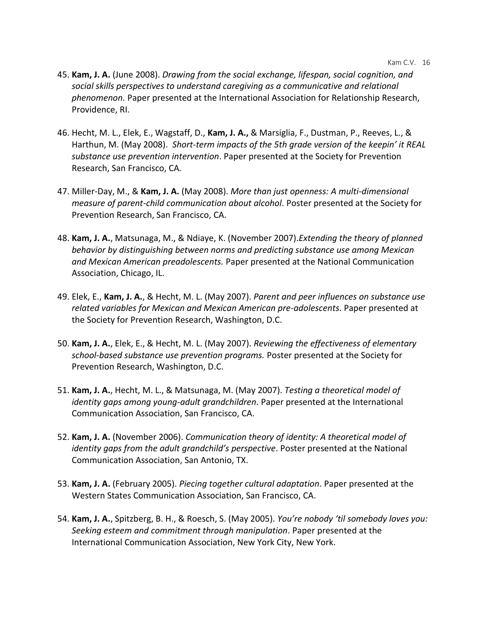- 45. **Kam, J. A.** (June 2008). *Drawing from the social exchange, lifespan, social cognition, and social skills perspectives to understand caregiving as a communicative and relational phenomenon.* Paper presented at the International Association for Relationship Research, Providence, RI.
- 46. Hecht, M. L., Elek, E., Wagstaff, D., **Kam, J. A.,** & Marsiglia, F., Dustman, P., Reeves, L., & Harthun, M. (May 2008). *Short-term impacts of the 5th grade version of the keepin' it REAL substance use prevention intervention*. Paper presented at the Society for Prevention Research, San Francisco, CA*.*
- 47. Miller-Day, M., & **Kam, J. A.** (May 2008). *More than just openness: A multi-dimensional measure of parent-child communication about alcohol*. Poster presented at the Society for Prevention Research, San Francisco, CA.
- 48. **Kam, J. A.**, Matsunaga, M., & Ndiaye, K. (November 2007).*Extending the theory of planned behavior by distinguishing between norms and predicting substance use among Mexican and Mexican American preadolescents.* Paper presented at the National Communication Association, Chicago, IL.
- 49. Elek, E., **Kam, J. A.**, & Hecht, M. L. (May 2007). *Parent and peer influences on substance use related variables for Mexican and Mexican American pre-adolescents*. Paper presented at the Society for Prevention Research, Washington, D.C.
- 50. **Kam, J. A.**, Elek, E., & Hecht, M. L. (May 2007). *Reviewing the effectiveness of elementary school-based substance use prevention programs.* Poster presented at the Society for Prevention Research, Washington, D.C.
- 51. **Kam, J. A.**, Hecht, M. L., & Matsunaga, M. (May 2007). *Testing a theoretical model of identity gaps among young-adult grandchildren*. Paper presented at the International Communication Association, San Francisco, CA.
- 52. **Kam, J. A.** (November 2006). *Communication theory of identity: A theoretical model of identity gaps from the adult grandchild's perspective*. Poster presented at the National Communication Association, San Antonio, TX.
- 53. **Kam, J. A.** (February 2005). *Piecing together cultural adaptation*. Paper presented at the Western States Communication Association, San Francisco, CA.
- 54. **Kam, J. A.**, Spitzberg, B. H., & Roesch, S. (May 2005). *You're nobody 'til somebody loves you: Seeking esteem and commitment through manipulation*. Paper presented at the International Communication Association, New York City, New York.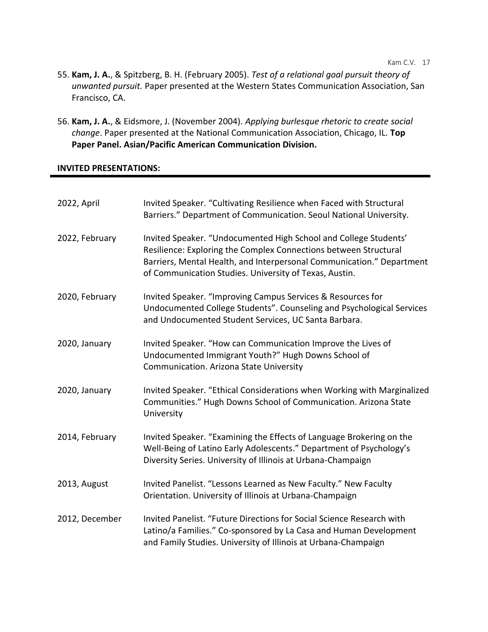- 55. **Kam, J. A.**, & Spitzberg, B. H. (February 2005). *Test of a relational goal pursuit theory of unwanted pursuit.* Paper presented at the Western States Communication Association, San Francisco, CA.
- 56. **Kam, J. A.**, & Eidsmore, J. (November 2004). *Applying burlesque rhetoric to create social change*. Paper presented at the National Communication Association, Chicago, IL. **Top Paper Panel. Asian/Pacific American Communication Division.**

### **INVITED PRESENTATIONS:**

| 2022, April    | Invited Speaker. "Cultivating Resilience when Faced with Structural<br>Barriers." Department of Communication. Seoul National University.                                                                                                                               |
|----------------|-------------------------------------------------------------------------------------------------------------------------------------------------------------------------------------------------------------------------------------------------------------------------|
| 2022, February | Invited Speaker. "Undocumented High School and College Students'<br>Resilience: Exploring the Complex Connections between Structural<br>Barriers, Mental Health, and Interpersonal Communication." Department<br>of Communication Studies. University of Texas, Austin. |
| 2020, February | Invited Speaker. "Improving Campus Services & Resources for<br>Undocumented College Students". Counseling and Psychological Services<br>and Undocumented Student Services, UC Santa Barbara.                                                                            |
| 2020, January  | Invited Speaker. "How can Communication Improve the Lives of<br>Undocumented Immigrant Youth?" Hugh Downs School of<br>Communication. Arizona State University                                                                                                          |
| 2020, January  | Invited Speaker. "Ethical Considerations when Working with Marginalized<br>Communities." Hugh Downs School of Communication. Arizona State<br>University                                                                                                                |
| 2014, February | Invited Speaker. "Examining the Effects of Language Brokering on the<br>Well-Being of Latino Early Adolescents." Department of Psychology's<br>Diversity Series. University of Illinois at Urbana-Champaign                                                             |
| 2013, August   | Invited Panelist. "Lessons Learned as New Faculty." New Faculty<br>Orientation. University of Illinois at Urbana-Champaign                                                                                                                                              |
| 2012, December | Invited Panelist. "Future Directions for Social Science Research with<br>Latino/a Families." Co-sponsored by La Casa and Human Development<br>and Family Studies. University of Illinois at Urbana-Champaign                                                            |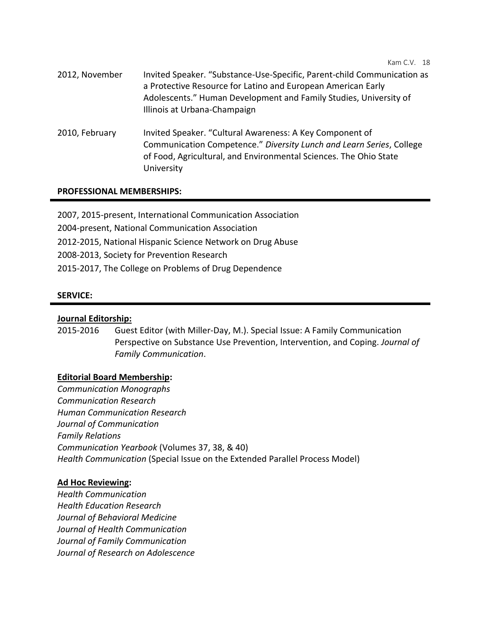- 2012, November Invited Speaker. "Substance-Use-Specific, Parent-child Communication as a Protective Resource for Latino and European American Early Adolescents." Human Development and Family Studies, University of Illinois at Urbana-Champaign
- 2010, February Invited Speaker. "Cultural Awareness: A Key Component of Communication Competence." *Diversity Lunch and Learn Series*, College of Food, Agricultural, and Environmental Sciences. The Ohio State University

### **PROFESSIONAL MEMBERSHIPS:**

2007, 2015-present, International Communication Association 2004-present, National Communication Association 2012-2015, National Hispanic Science Network on Drug Abuse 2008-2013, Society for Prevention Research 2015-2017, The College on Problems of Drug Dependence

### **SERVICE:**

#### **Journal Editorship:**

2015-2016 Guest Editor (with Miller-Day, M.). Special Issue: A Family Communication Perspective on Substance Use Prevention, Intervention, and Coping. *Journal of Family Communication*.

### **Editorial Board Membership:**

*Communication Monographs Communication Research Human Communication Research Journal of Communication Family Relations Communication Yearbook* (Volumes 37, 38, & 40) *Health Communication* (Special Issue on the Extended Parallel Process Model)

#### **Ad Hoc Reviewing:**

*Health Communication Health Education Research Journal of Behavioral Medicine Journal of Health Communication Journal of Family Communication Journal of Research on Adolescence*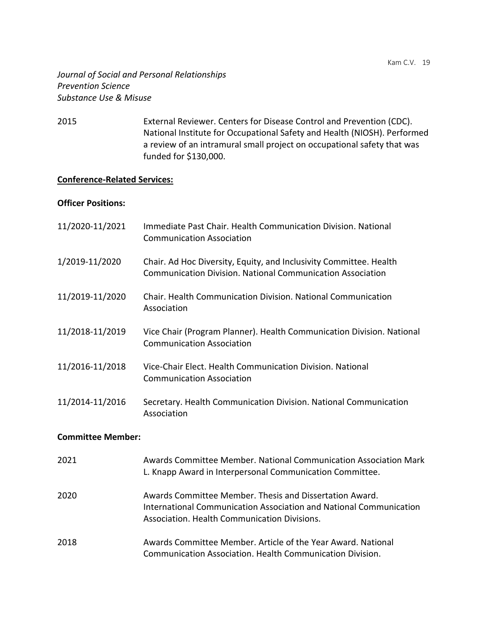## *Journal of Social and Personal Relationships Prevention Science Substance Use & Misuse*

2015 External Reviewer. Centers for Disease Control and Prevention (CDC). National Institute for Occupational Safety and Health (NIOSH). Performed a review of an intramural small project on occupational safety that was funded for \$130,000.

## **Conference-Related Services:**

### **Officer Positions:**

| 11/2020-11/2021          | Immediate Past Chair. Health Communication Division. National<br><b>Communication Association</b>                                       |
|--------------------------|-----------------------------------------------------------------------------------------------------------------------------------------|
| 1/2019-11/2020           | Chair. Ad Hoc Diversity, Equity, and Inclusivity Committee. Health<br><b>Communication Division. National Communication Association</b> |
| 11/2019-11/2020          | <b>Chair. Health Communication Division. National Communication</b><br>Association                                                      |
| 11/2018-11/2019          | Vice Chair (Program Planner). Health Communication Division. National<br><b>Communication Association</b>                               |
| 11/2016-11/2018          | Vice-Chair Elect. Health Communication Division. National<br><b>Communication Association</b>                                           |
| 11/2014-11/2016          | Secretary. Health Communication Division. National Communication<br>Association                                                         |
| <b>Committee Member:</b> |                                                                                                                                         |
| 2021                     | Awards Committee Member. National Communication Association Mark                                                                        |

L. Knapp Award in Interpersonal Communication Committee. 2020 Awards Committee Member. Thesis and Dissertation Award. International Communication Association and National Communication Association. Health Communication Divisions.

2018 Awards Committee Member. Article of the Year Award. National Communication Association. Health Communication Division.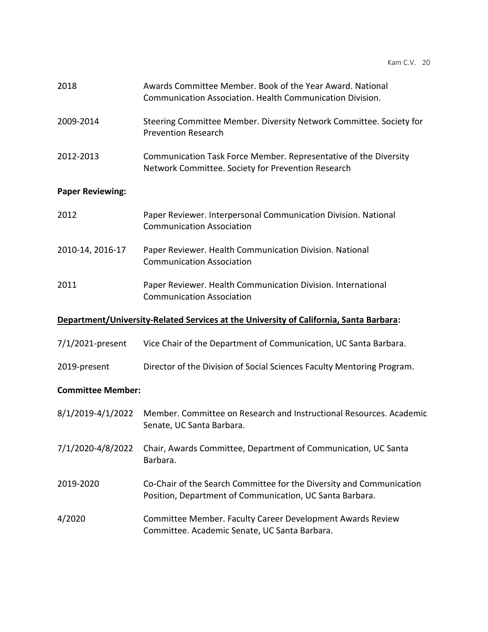| 2018                     | Awards Committee Member, Book of the Year Award, National<br>Communication Association. Health Communication Division.           |  |  |
|--------------------------|----------------------------------------------------------------------------------------------------------------------------------|--|--|
| 2009-2014                | Steering Committee Member. Diversity Network Committee. Society for<br><b>Prevention Research</b>                                |  |  |
| 2012-2013                | Communication Task Force Member. Representative of the Diversity<br>Network Committee. Society for Prevention Research           |  |  |
| <b>Paper Reviewing:</b>  |                                                                                                                                  |  |  |
| 2012                     | Paper Reviewer. Interpersonal Communication Division. National<br><b>Communication Association</b>                               |  |  |
| 2010-14, 2016-17         | Paper Reviewer. Health Communication Division. National<br><b>Communication Association</b>                                      |  |  |
| 2011                     | Paper Reviewer. Health Communication Division. International<br><b>Communication Association</b>                                 |  |  |
|                          | Department/University-Related Services at the University of California, Santa Barbara:                                           |  |  |
| 7/1/2021-present         | Vice Chair of the Department of Communication, UC Santa Barbara.                                                                 |  |  |
| 2019-present             | Director of the Division of Social Sciences Faculty Mentoring Program.                                                           |  |  |
| <b>Committee Member:</b> |                                                                                                                                  |  |  |
| 8/1/2019-4/1/2022        | Member. Committee on Research and Instructional Resources. Academic<br>Senate, UC Santa Barbara.                                 |  |  |
| 7/1/2020-4/8/2022        | Chair, Awards Committee, Department of Communication, UC Santa<br>Barbara.                                                       |  |  |
| 2019-2020                | Co-Chair of the Search Committee for the Diversity and Communication<br>Position, Department of Communication, UC Santa Barbara. |  |  |
| 4/2020                   | Committee Member. Faculty Career Development Awards Review<br>Committee. Academic Senate, UC Santa Barbara.                      |  |  |
|                          |                                                                                                                                  |  |  |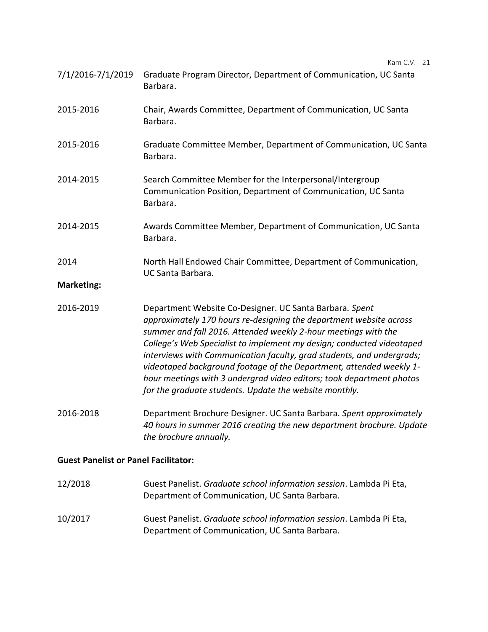| 7/1/2016-7/1/2019 Graduate Program Director, Department of Communication, UC Santa |
|------------------------------------------------------------------------------------|
| Barbara.                                                                           |

- 2015-2016 Chair, Awards Committee, Department of Communication, UC Santa Barbara.
- 2015-2016 Graduate Committee Member, Department of Communication, UC Santa Barbara.
- 2014-2015 Search Committee Member for the Interpersonal/Intergroup Communication Position, Department of Communication, UC Santa Barbara.
- 2014-2015 Awards Committee Member, Department of Communication, UC Santa Barbara.
- 2014 North Hall Endowed Chair Committee, Department of Communication, UC Santa Barbara.

### **Marketing:**

- 2016-2019 Department Website Co-Designer. UC Santa Barbara*. Spent approximately 170 hours re-designing the department website across summer and fall 2016. Attended weekly 2-hour meetings with the College's Web Specialist to implement my design; conducted videotaped interviews with Communication faculty, grad students, and undergrads; videotaped background footage of the Department, attended weekly 1 hour meetings with 3 undergrad video editors; took department photos for the graduate students. Update the website monthly.*
- 2016-2018 Department Brochure Designer. UC Santa Barbara. *Spent approximately 40 hours in summer 2016 creating the new department brochure. Update the brochure annually.*

## **Guest Panelist or Panel Facilitator:**

12/2018 Guest Panelist. *Graduate school information session*. Lambda Pi Eta, Department of Communication, UC Santa Barbara. 10/2017 Guest Panelist. *Graduate school information session*. Lambda Pi Eta, Department of Communication, UC Santa Barbara.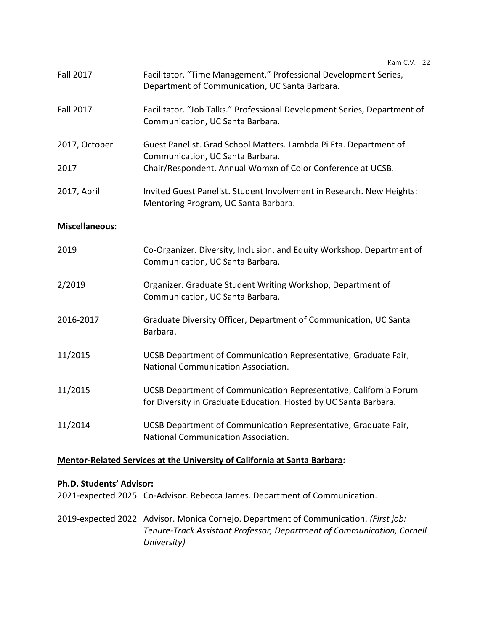| <b>Fall 2017</b>      | Facilitator. "Time Management." Professional Development Series,<br>Department of Communication, UC Santa Barbara.                    |
|-----------------------|---------------------------------------------------------------------------------------------------------------------------------------|
| <b>Fall 2017</b>      | Facilitator. "Job Talks." Professional Development Series, Department of<br>Communication, UC Santa Barbara.                          |
| 2017, October         | Guest Panelist. Grad School Matters. Lambda Pi Eta. Department of<br>Communication, UC Santa Barbara.                                 |
| 2017                  | Chair/Respondent. Annual Womxn of Color Conference at UCSB.                                                                           |
| 2017, April           | Invited Guest Panelist. Student Involvement in Research. New Heights:<br>Mentoring Program, UC Santa Barbara.                         |
| <b>Miscellaneous:</b> |                                                                                                                                       |
| 2019                  | Co-Organizer. Diversity, Inclusion, and Equity Workshop, Department of<br>Communication, UC Santa Barbara.                            |
| 2/2019                | Organizer. Graduate Student Writing Workshop, Department of<br>Communication, UC Santa Barbara.                                       |
| 2016-2017             | Graduate Diversity Officer, Department of Communication, UC Santa<br>Barbara.                                                         |
| 11/2015               | UCSB Department of Communication Representative, Graduate Fair,<br>National Communication Association.                                |
| 11/2015               | UCSB Department of Communication Representative, California Forum<br>for Diversity in Graduate Education. Hosted by UC Santa Barbara. |
| 11/2014               | UCSB Department of Communication Representative, Graduate Fair,<br>National Communication Association.                                |

# **Mentor-Related Services at the University of California at Santa Barbara:**

### **Ph.D. Students' Advisor:**

2021-expected 2025 Co-Advisor. Rebecca James. Department of Communication.

2019-expected 2022 Advisor. Monica Cornejo. Department of Communication. *(First job: Tenure-Track Assistant Professor, Department of Communication, Cornell University)*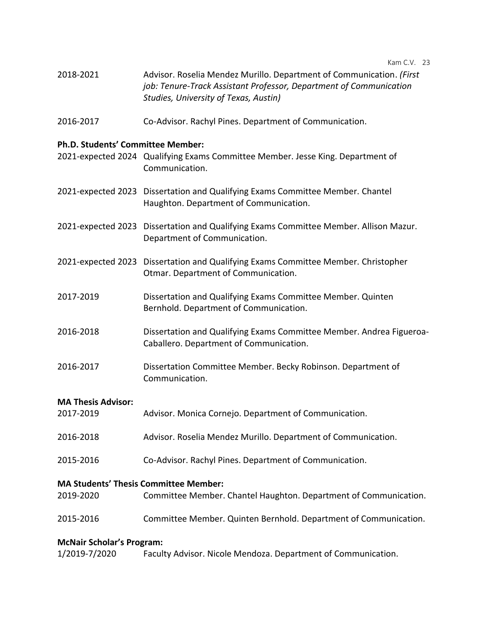| 2018-2021 | Advisor. Roselia Mendez Murillo. Department of Communication. (First |
|-----------|----------------------------------------------------------------------|
|           | job: Tenure-Track Assistant Professor, Department of Communication   |
|           | Studies, University of Texas, Austin)                                |

2016-2017 Co-Advisor. Rachyl Pines. Department of Communication.

### **Ph.D. Students' Committee Member:**

- 2021-expected 2024 Qualifying Exams Committee Member. Jesse King. Department of Communication.
- 2021-expected 2023 Dissertation and Qualifying Exams Committee Member. Chantel Haughton. Department of Communication.
- 2021-expected 2023 Dissertation and Qualifying Exams Committee Member. Allison Mazur. Department of Communication.
- 2021-expected 2023 Dissertation and Qualifying Exams Committee Member. Christopher Otmar. Department of Communication.
- 2017-2019 Dissertation and Qualifying Exams Committee Member. Quinten Bernhold. Department of Communication.
- 2016-2018 Dissertation and Qualifying Exams Committee Member. Andrea Figueroa-Caballero. Department of Communication.
- 2016-2017 Dissertation Committee Member. Becky Robinson. Department of Communication.

### **MA Thesis Advisor:**

- 2017-2019 Advisor. Monica Cornejo. Department of Communication.
- 2016-2018 Advisor. Roselia Mendez Murillo. Department of Communication.
- 2015-2016 Co-Advisor. Rachyl Pines. Department of Communication.

### **MA Students' Thesis Committee Member:**

- 2019-2020 Committee Member. Chantel Haughton. Department of Communication.
- 2015-2016 Committee Member. Quinten Bernhold. Department of Communication.

### **McNair Scholar's Program:**

| 1/2019-7/2020 |  |  |  | Faculty Advisor. Nicole Mendoza. Department of Communication. |
|---------------|--|--|--|---------------------------------------------------------------|
|---------------|--|--|--|---------------------------------------------------------------|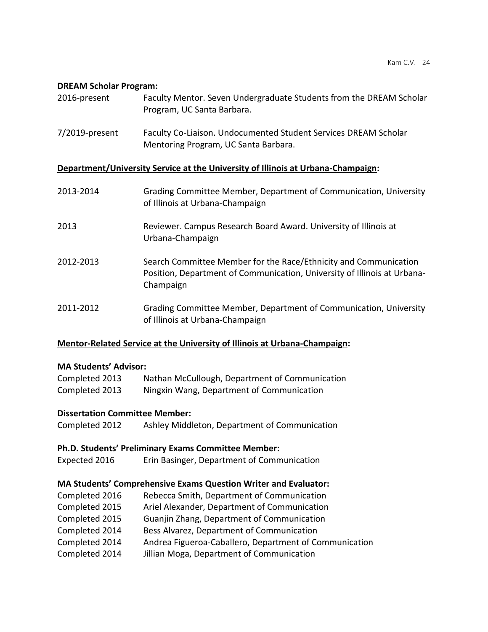#### **DREAM Scholar Program:**

| 2016-present                                                                     | Faculty Mentor. Seven Undergraduate Students from the DREAM Scholar<br>Program, UC Santa Barbara.                                                         |  |
|----------------------------------------------------------------------------------|-----------------------------------------------------------------------------------------------------------------------------------------------------------|--|
| $7/2019$ -present                                                                | Faculty Co-Liaison. Undocumented Student Services DREAM Scholar<br>Mentoring Program, UC Santa Barbara.                                                   |  |
| Department/University Service at the University of Illinois at Urbana-Champaign: |                                                                                                                                                           |  |
| 2013-2014                                                                        | Grading Committee Member, Department of Communication, University<br>of Illinois at Urbana-Champaign                                                      |  |
| 2013                                                                             | Reviewer. Campus Research Board Award. University of Illinois at<br>Urbana-Champaign                                                                      |  |
| 2012-2013                                                                        | Search Committee Member for the Race/Ethnicity and Communication<br>Position, Department of Communication, University of Illinois at Urbana-<br>Champaign |  |
| 2011-2012                                                                        | Grading Committee Member, Department of Communication, University<br>of Illinois at Urbana-Champaign                                                      |  |

### **Mentor-Related Service at the University of Illinois at Urbana-Champaign:**

### **MA Students' Advisor:**

| Completed 2013 | Nathan McCullough, Department of Communication |
|----------------|------------------------------------------------|
| Completed 2013 | Ningxin Wang, Department of Communication      |

## **Dissertation Committee Member:**

Completed 2012 Ashley Middleton, Department of Communication

## **Ph.D. Students' Preliminary Exams Committee Member:**

Expected 2016 Erin Basinger, Department of Communication

## **MA Students' Comprehensive Exams Question Writer and Evaluator:**

Completed 2016 Rebecca Smith, Department of Communication Completed 2015 Ariel Alexander, Department of Communication Completed 2015 Guanjin Zhang, Department of Communication Completed 2014 Bess Alvarez, Department of Communication Completed 2014 Andrea Figueroa-Caballero, Department of Communication Completed 2014 Jillian Moga, Department of Communication